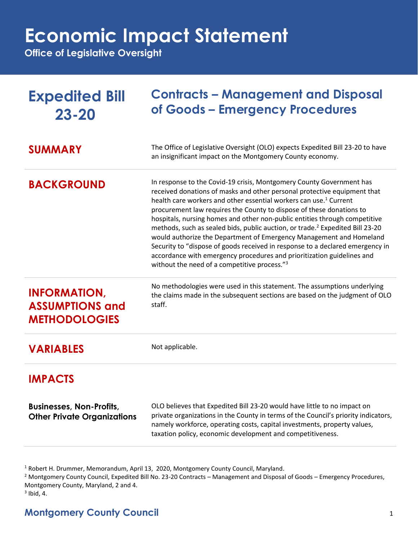## **Economic Impact Statement**

**Office of Legislative Oversight**

| <b>Expedited Bill</b><br>$23 - 20$                                    | <b>Contracts – Management and Disposal</b><br>of Goods - Emergency Procedures                                                                                                                                                                                                                                                                                                                                                                                                                                                                                                                                                                                                                                                                                                      |
|-----------------------------------------------------------------------|------------------------------------------------------------------------------------------------------------------------------------------------------------------------------------------------------------------------------------------------------------------------------------------------------------------------------------------------------------------------------------------------------------------------------------------------------------------------------------------------------------------------------------------------------------------------------------------------------------------------------------------------------------------------------------------------------------------------------------------------------------------------------------|
| <b>SUMMARY</b>                                                        | The Office of Legislative Oversight (OLO) expects Expedited Bill 23-20 to have<br>an insignificant impact on the Montgomery County economy.                                                                                                                                                                                                                                                                                                                                                                                                                                                                                                                                                                                                                                        |
| <b>BACKGROUND</b>                                                     | In response to the Covid-19 crisis, Montgomery County Government has<br>received donations of masks and other personal protective equipment that<br>health care workers and other essential workers can use. <sup>1</sup> Current<br>procurement law requires the County to dispose of these donations to<br>hospitals, nursing homes and other non-public entities through competitive<br>methods, such as sealed bids, public auction, or trade. <sup>2</sup> Expedited Bill 23-20<br>would authorize the Department of Emergency Management and Homeland<br>Security to "dispose of goods received in response to a declared emergency in<br>accordance with emergency procedures and prioritization guidelines and<br>without the need of a competitive process." <sup>3</sup> |
| <b>INFORMATION,</b><br><b>ASSUMPTIONS and</b><br><b>METHODOLOGIES</b> | No methodologies were used in this statement. The assumptions underlying<br>the claims made in the subsequent sections are based on the judgment of OLO<br>staff.                                                                                                                                                                                                                                                                                                                                                                                                                                                                                                                                                                                                                  |
| <b>VARIABLES</b>                                                      | Not applicable.                                                                                                                                                                                                                                                                                                                                                                                                                                                                                                                                                                                                                                                                                                                                                                    |
| <b>IMPACTS</b>                                                        |                                                                                                                                                                                                                                                                                                                                                                                                                                                                                                                                                                                                                                                                                                                                                                                    |
| <b>Businesses, Non-Profits,</b><br><b>Other Private Organizations</b> | OLO believes that Expedited Bill 23-20 would have little to no impact on<br>private organizations in the County in terms of the Council's priority indicators,<br>namely workforce, operating costs, capital investments, property values,<br>taxation policy, economic development and competitiveness.                                                                                                                                                                                                                                                                                                                                                                                                                                                                           |

<sup>1</sup> Robert H. Drummer, Memorandum, April 13, 2020, Montgomery County Council, Maryland.

<sup>2</sup> Montgomery County Council, Expedited Bill No. 23-20 Contracts – Management and Disposal of Goods – Emergency Procedures, Montgomery County, Maryland, 2 and 4.

 $3$  Ibid, 4.